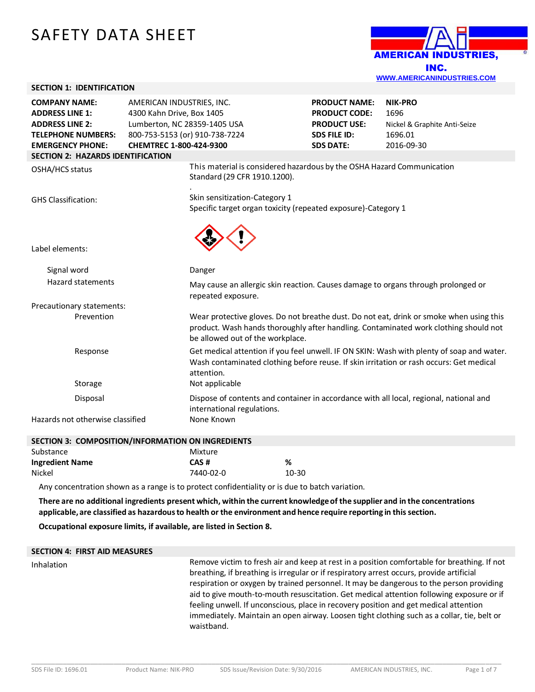# SAFETY DATA SHEET

**SECTION 1: IDENTIFICATION**



| <b>COMPANY NAME:</b><br><b>ADDRESS LINE 1:</b><br><b>ADDRESS LINE 2:</b><br><b>TELEPHONE NUMBERS:</b><br><b>EMERGENCY PHONE:</b>                                                                               | AMERICAN INDUSTRIES, INC.<br>4300 Kahn Drive, Box 1405<br>Lumberton, NC 28359-1405 USA<br>800-753-5153 (or) 910-738-7224<br>CHEMTREC 1-800-424-9300 |                                                                                                         | <b>PRODUCT NAME:</b><br><b>PRODUCT CODE:</b><br><b>PRODUCT USE:</b><br><b>SDS FILE ID:</b><br><b>SDS DATE:</b> | <b>NIK-PRO</b><br>1696<br>Nickel & Graphite Anti-Seize<br>1696.01<br>2016-09-30                                                                                                 |  |
|----------------------------------------------------------------------------------------------------------------------------------------------------------------------------------------------------------------|-----------------------------------------------------------------------------------------------------------------------------------------------------|---------------------------------------------------------------------------------------------------------|----------------------------------------------------------------------------------------------------------------|---------------------------------------------------------------------------------------------------------------------------------------------------------------------------------|--|
| <b>SECTION 2: HAZARDS IDENTIFICATION</b>                                                                                                                                                                       |                                                                                                                                                     |                                                                                                         |                                                                                                                |                                                                                                                                                                                 |  |
| OSHA/HCS status                                                                                                                                                                                                |                                                                                                                                                     | This material is considered hazardous by the OSHA Hazard Communication<br>Standard (29 CFR 1910.1200).  |                                                                                                                |                                                                                                                                                                                 |  |
| <b>GHS Classification:</b>                                                                                                                                                                                     |                                                                                                                                                     | Skin sensitization-Category 1<br>Specific target organ toxicity (repeated exposure)-Category 1          |                                                                                                                |                                                                                                                                                                                 |  |
| Label elements:                                                                                                                                                                                                |                                                                                                                                                     |                                                                                                         |                                                                                                                |                                                                                                                                                                                 |  |
| Signal word                                                                                                                                                                                                    |                                                                                                                                                     | Danger                                                                                                  |                                                                                                                |                                                                                                                                                                                 |  |
| <b>Hazard statements</b>                                                                                                                                                                                       |                                                                                                                                                     | May cause an allergic skin reaction. Causes damage to organs through prolonged or<br>repeated exposure. |                                                                                                                |                                                                                                                                                                                 |  |
| Precautionary statements:                                                                                                                                                                                      |                                                                                                                                                     |                                                                                                         |                                                                                                                |                                                                                                                                                                                 |  |
| Prevention                                                                                                                                                                                                     |                                                                                                                                                     | be allowed out of the workplace.                                                                        |                                                                                                                | Wear protective gloves. Do not breathe dust. Do not eat, drink or smoke when using this<br>product. Wash hands thoroughly after handling. Contaminated work clothing should not |  |
| Get medical attention if you feel unwell. IF ON SKIN: Wash with plenty of soap and water.<br>Response<br>Wash contaminated clothing before reuse. If skin irritation or rash occurs: Get medical<br>attention. |                                                                                                                                                     |                                                                                                         |                                                                                                                |                                                                                                                                                                                 |  |
| Not applicable<br>Storage                                                                                                                                                                                      |                                                                                                                                                     |                                                                                                         |                                                                                                                |                                                                                                                                                                                 |  |
| Dispose of contents and container in accordance with all local, regional, national and<br>Disposal<br>international regulations.                                                                               |                                                                                                                                                     |                                                                                                         |                                                                                                                |                                                                                                                                                                                 |  |
| Hazards not otherwise classified                                                                                                                                                                               |                                                                                                                                                     | None Known                                                                                              |                                                                                                                |                                                                                                                                                                                 |  |
| SECTION 3: COMPOSITION/INFORMATION ON INGREDIENTS                                                                                                                                                              |                                                                                                                                                     |                                                                                                         |                                                                                                                |                                                                                                                                                                                 |  |
| Substance                                                                                                                                                                                                      |                                                                                                                                                     | Mixture                                                                                                 |                                                                                                                |                                                                                                                                                                                 |  |
| وبالشاري والمنافرة والمستحدث والمنافذة                                                                                                                                                                         |                                                                                                                                                     | 0.00                                                                                                    |                                                                                                                |                                                                                                                                                                                 |  |

|                        | .         |           |
|------------------------|-----------|-----------|
| <b>Ingredient Name</b> | CAS#      | %         |
| Nickel                 | 7440-02-0 | $10 - 30$ |

Any concentration shown as a range is to protect confidentiality or is due to batch variation.

There are no additional ingredients present which, within the current knowledge of the supplier and in the concentrations **applicable, are classified as hazardousto health or the environment and hence require reporting in thissection.**

**Occupational exposure limits, if available, are listed in Section 8.**

#### **SECTION 4: FIRST AID MEASURES**

Inhalation Remove victim to fresh air and keep at rest in a position comfortable for breathing. If not breathing, if breathing is irregular or if respiratory arrest occurs, provide artificial respiration or oxygen by trained personnel. It may be dangerous to the person providing aid to give mouth-to-mouth resuscitation. Get medical attention following exposure or if feeling unwell. If unconscious, place in recovery position and get medical attention immediately. Maintain an open airway. Loosen tight clothing such as a collar, tie, belt or waistband.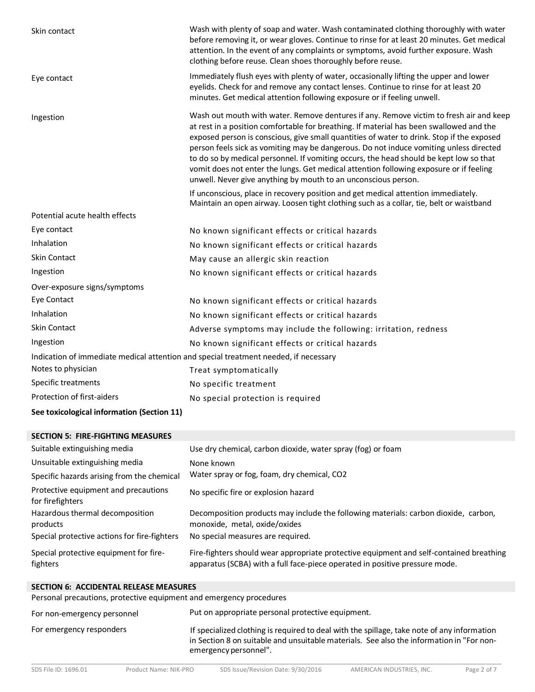| Skin contact                                                                         | Wash with plenty of soap and water. Wash contaminated clothing thoroughly with water<br>before removing it, or wear gloves. Continue to rinse for at least 20 minutes. Get medical<br>attention. In the event of any complaints or symptoms, avoid further exposure. Wash<br>clothing before reuse. Clean shoes thoroughly before reuse.                                                                                                                                                                                                                                                                                       |
|--------------------------------------------------------------------------------------|--------------------------------------------------------------------------------------------------------------------------------------------------------------------------------------------------------------------------------------------------------------------------------------------------------------------------------------------------------------------------------------------------------------------------------------------------------------------------------------------------------------------------------------------------------------------------------------------------------------------------------|
| Eye contact                                                                          | Immediately flush eyes with plenty of water, occasionally lifting the upper and lower<br>eyelids. Check for and remove any contact lenses. Continue to rinse for at least 20<br>minutes. Get medical attention following exposure or if feeling unwell.                                                                                                                                                                                                                                                                                                                                                                        |
| Ingestion                                                                            | Wash out mouth with water. Remove dentures if any. Remove victim to fresh air and keep<br>at rest in a position comfortable for breathing. If material has been swallowed and the<br>exposed person is conscious, give small quantities of water to drink. Stop if the exposed<br>person feels sick as vomiting may be dangerous. Do not induce vomiting unless directed<br>to do so by medical personnel. If vomiting occurs, the head should be kept low so that<br>vomit does not enter the lungs. Get medical attention following exposure or if feeling<br>unwell. Never give anything by mouth to an unconscious person. |
|                                                                                      | If unconscious, place in recovery position and get medical attention immediately.<br>Maintain an open airway. Loosen tight clothing such as a collar, tie, belt or waistband                                                                                                                                                                                                                                                                                                                                                                                                                                                   |
| Potential acute health effects                                                       |                                                                                                                                                                                                                                                                                                                                                                                                                                                                                                                                                                                                                                |
| Eye contact                                                                          | No known significant effects or critical hazards                                                                                                                                                                                                                                                                                                                                                                                                                                                                                                                                                                               |
| Inhalation                                                                           | No known significant effects or critical hazards                                                                                                                                                                                                                                                                                                                                                                                                                                                                                                                                                                               |
| <b>Skin Contact</b>                                                                  | May cause an allergic skin reaction                                                                                                                                                                                                                                                                                                                                                                                                                                                                                                                                                                                            |
| Ingestion                                                                            | No known significant effects or critical hazards                                                                                                                                                                                                                                                                                                                                                                                                                                                                                                                                                                               |
| Over-exposure signs/symptoms                                                         |                                                                                                                                                                                                                                                                                                                                                                                                                                                                                                                                                                                                                                |
| Eye Contact                                                                          | No known significant effects or critical hazards                                                                                                                                                                                                                                                                                                                                                                                                                                                                                                                                                                               |
| Inhalation                                                                           | No known significant effects or critical hazards                                                                                                                                                                                                                                                                                                                                                                                                                                                                                                                                                                               |
| Skin Contact                                                                         | Adverse symptoms may include the following: irritation, redness                                                                                                                                                                                                                                                                                                                                                                                                                                                                                                                                                                |
| Ingestion                                                                            | No known significant effects or critical hazards                                                                                                                                                                                                                                                                                                                                                                                                                                                                                                                                                                               |
| Indication of immediate medical attention and special treatment needed, if necessary |                                                                                                                                                                                                                                                                                                                                                                                                                                                                                                                                                                                                                                |
| Notes to physician                                                                   | Treat symptomatically                                                                                                                                                                                                                                                                                                                                                                                                                                                                                                                                                                                                          |
| Specific treatments                                                                  | No specific treatment                                                                                                                                                                                                                                                                                                                                                                                                                                                                                                                                                                                                          |
| Protection of first-aiders                                                           | No special protection is required                                                                                                                                                                                                                                                                                                                                                                                                                                                                                                                                                                                              |
| See toxicological information (Section 11)                                           |                                                                                                                                                                                                                                                                                                                                                                                                                                                                                                                                                                                                                                |

#### **SECTION 5: FIRE-FIGHTING MEASURES**

| Suitable extinguishing media                             | Use dry chemical, carbon dioxide, water spray (fog) or foam                                                                                                            |
|----------------------------------------------------------|------------------------------------------------------------------------------------------------------------------------------------------------------------------------|
| Unsuitable extinguishing media                           | None known                                                                                                                                                             |
| Specific hazards arising from the chemical               | Water spray or fog, foam, dry chemical, CO2                                                                                                                            |
| Protective equipment and precautions<br>for firefighters | No specific fire or explosion hazard                                                                                                                                   |
| Hazardous thermal decomposition<br>products              | Decomposition products may include the following materials: carbon dioxide, carbon,<br>monoxide, metal, oxide/oxides                                                   |
| Special protective actions for fire-fighters             | No special measures are required.                                                                                                                                      |
| Special protective equipment for fire-<br>fighters       | Fire-fighters should wear appropriate protective equipment and self-contained breathing<br>apparatus (SCBA) with a full face-piece operated in positive pressure mode. |

## **SECTION 6: ACCIDENTAL RELEASE MEASURES** Personal precautions, protective equipment and emergency procedures For non-emergency personnel Put on appropriate personal protective equipment.

\_\_\_\_\_\_\_\_\_\_\_\_\_\_\_\_\_\_\_\_\_\_\_\_\_\_\_\_\_\_\_\_\_\_\_\_\_\_\_\_\_\_\_\_\_\_\_\_\_\_\_\_\_\_\_\_\_\_\_\_\_\_\_\_\_\_\_\_\_\_\_\_\_\_\_\_\_\_\_\_\_\_\_\_\_\_\_\_\_\_\_\_\_\_\_\_\_\_\_\_\_\_\_\_\_\_\_\_\_\_\_\_\_\_\_\_\_\_\_\_ For emergency responders **If specialized clothing is required to deal with the spillage**, take note of any information in Section 8 on suitable and unsuitable materials. See also the information in "For nonemergency personnel".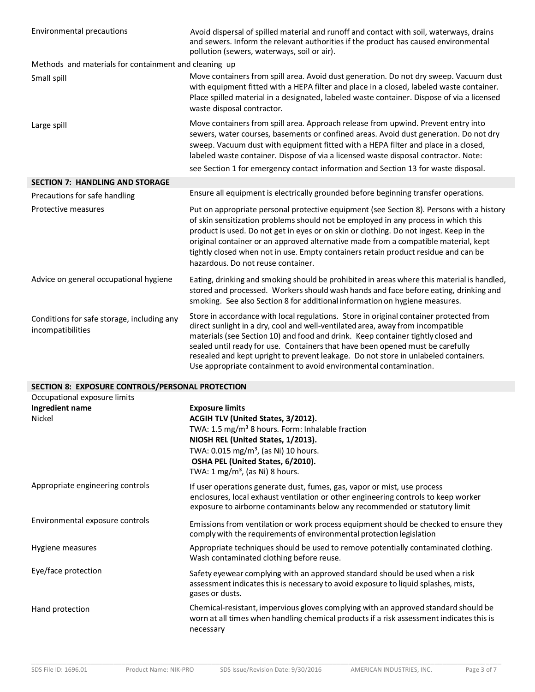| Environmental precautions                                                        | Avoid dispersal of spilled material and runoff and contact with soil, waterways, drains<br>and sewers. Inform the relevant authorities if the product has caused environmental<br>pollution (sewers, waterways, soil or air).                                                                                                                                                                                                                                                                               |  |  |  |  |
|----------------------------------------------------------------------------------|-------------------------------------------------------------------------------------------------------------------------------------------------------------------------------------------------------------------------------------------------------------------------------------------------------------------------------------------------------------------------------------------------------------------------------------------------------------------------------------------------------------|--|--|--|--|
| Methods and materials for containment and cleaning up                            |                                                                                                                                                                                                                                                                                                                                                                                                                                                                                                             |  |  |  |  |
| Small spill                                                                      | Move containers from spill area. Avoid dust generation. Do not dry sweep. Vacuum dust<br>with equipment fitted with a HEPA filter and place in a closed, labeled waste container.<br>Place spilled material in a designated, labeled waste container. Dispose of via a licensed<br>waste disposal contractor.                                                                                                                                                                                               |  |  |  |  |
| Large spill                                                                      | Move containers from spill area. Approach release from upwind. Prevent entry into<br>sewers, water courses, basements or confined areas. Avoid dust generation. Do not dry<br>sweep. Vacuum dust with equipment fitted with a HEPA filter and place in a closed,<br>labeled waste container. Dispose of via a licensed waste disposal contractor. Note:<br>see Section 1 for emergency contact information and Section 13 for waste disposal.                                                               |  |  |  |  |
| <b>SECTION 7: HANDLING AND STORAGE</b>                                           |                                                                                                                                                                                                                                                                                                                                                                                                                                                                                                             |  |  |  |  |
| Precautions for safe handling                                                    | Ensure all equipment is electrically grounded before beginning transfer operations.                                                                                                                                                                                                                                                                                                                                                                                                                         |  |  |  |  |
| Protective measures                                                              | Put on appropriate personal protective equipment (see Section 8). Persons with a history<br>of skin sensitization problems should not be employed in any process in which this<br>product is used. Do not get in eyes or on skin or clothing. Do not ingest. Keep in the<br>original container or an approved alternative made from a compatible material, kept<br>tightly closed when not in use. Empty containers retain product residue and can be<br>hazardous. Do not reuse container.                 |  |  |  |  |
| Advice on general occupational hygiene                                           | Eating, drinking and smoking should be prohibited in areas where this material is handled,<br>stored and processed. Workers should wash hands and face before eating, drinking and<br>smoking. See also Section 8 for additional information on hygiene measures.                                                                                                                                                                                                                                           |  |  |  |  |
| Conditions for safe storage, including any<br>incompatibilities                  | Store in accordance with local regulations. Store in original container protected from<br>direct sunlight in a dry, cool and well-ventilated area, away from incompatible<br>materials (see Section 10) and food and drink. Keep container tightly closed and<br>sealed until ready for use. Containers that have been opened must be carefully<br>resealed and kept upright to prevent leakage. Do not store in unlabeled containers.<br>Use appropriate containment to avoid environmental contamination. |  |  |  |  |
| SECTION 8: EXPOSURE CONTROLS/PERSONAL PROTECTION<br>Occupational exposure limits |                                                                                                                                                                                                                                                                                                                                                                                                                                                                                                             |  |  |  |  |
| Ingredient name<br>Nickel                                                        | <b>Exposure limits</b><br>ACGIH TLV (United States, 3/2012).<br>TWA: 1.5 mg/m <sup>3</sup> 8 hours. Form: Inhalable fraction<br>NIOSH REL (United States, 1/2013).<br>TWA: 0.015 mg/m <sup>3</sup> , (as Ni) 10 hours.<br>OSHA PEL (United States, 6/2010).<br>TWA: $1 \text{ mg/m}^3$ , (as Ni) 8 hours.                                                                                                                                                                                                   |  |  |  |  |
| Appropriate engineering controls                                                 | If user operations generate dust, fumes, gas, vapor or mist, use process<br>enclosures, local exhaust ventilation or other engineering controls to keep worker<br>exposure to airborne contaminants below any recommended or statutory limit                                                                                                                                                                                                                                                                |  |  |  |  |
| Environmental exposure controls                                                  | Emissions from ventilation or work process equipment should be checked to ensure they<br>comply with the requirements of environmental protection legislation                                                                                                                                                                                                                                                                                                                                               |  |  |  |  |
| Hygiene measures                                                                 | Appropriate techniques should be used to remove potentially contaminated clothing.<br>Wash contaminated clothing before reuse.                                                                                                                                                                                                                                                                                                                                                                              |  |  |  |  |
| Eye/face protection                                                              | Safety eyewear complying with an approved standard should be used when a risk<br>assessment indicates this is necessary to avoid exposure to liquid splashes, mists,<br>gases or dusts.                                                                                                                                                                                                                                                                                                                     |  |  |  |  |
| Hand protection                                                                  | Chemical-resistant, impervious gloves complying with an approved standard should be<br>worn at all times when handling chemical products if a risk assessment indicates this is<br>necessary                                                                                                                                                                                                                                                                                                                |  |  |  |  |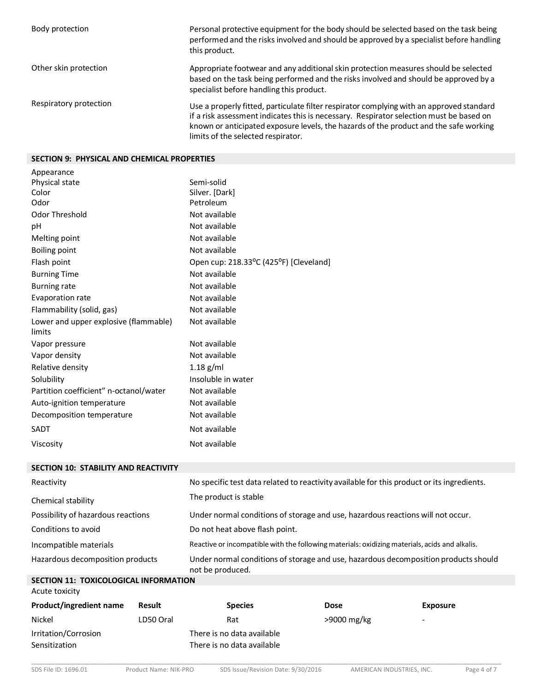| Body protection        | Personal protective equipment for the body should be selected based on the task being<br>performed and the risks involved and should be approved by a specialist before handling<br>this product.                                                                                                                  |
|------------------------|--------------------------------------------------------------------------------------------------------------------------------------------------------------------------------------------------------------------------------------------------------------------------------------------------------------------|
| Other skin protection  | Appropriate footwear and any additional skin protection measures should be selected<br>based on the task being performed and the risks involved and should be approved by a<br>specialist before handling this product.                                                                                            |
| Respiratory protection | Use a properly fitted, particulate filter respirator complying with an approved standard<br>if a risk assessment indicates this is necessary. Respirator selection must be based on<br>known or anticipated exposure levels, the hazards of the product and the safe working<br>limits of the selected respirator. |

## **SECTION 9: PHYSICAL AND CHEMICAL PROPERTIES**

| Appearance                             |                                        |
|----------------------------------------|----------------------------------------|
| Physical state                         | Semi-solid                             |
| Color                                  | Silver. [Dark]                         |
| Odor                                   | Petroleum                              |
| Odor Threshold                         | Not available                          |
| рH                                     | Not available                          |
| Melting point                          | Not available                          |
| Boiling point                          | Not available                          |
| Flash point                            | Open cup: 218.33°C (425°F) [Cleveland] |
| <b>Burning Time</b>                    | Not available                          |
| <b>Burning rate</b>                    | Not available                          |
| Evaporation rate                       | Not available                          |
| Flammability (solid, gas)              | Not available                          |
| Lower and upper explosive (flammable)  | Not available                          |
| limits                                 |                                        |
| Vapor pressure                         | Not available                          |
| Vapor density                          | Not available                          |
| Relative density                       | $1.18$ g/ml                            |
| Solubility                             | Insoluble in water                     |
| Partition coefficient" n-octanol/water | Not available                          |
| Auto-ignition temperature              | Not available                          |
| Decomposition temperature              | Not available                          |
| SADT                                   | Not available                          |
| Viscosity                              | Not available                          |
|                                        |                                        |

| <b>SECTION 10: STABILITY AND REACTIVITY</b>  |                                                                                                         |
|----------------------------------------------|---------------------------------------------------------------------------------------------------------|
| Reactivity                                   | No specific test data related to reactivity available for this product or its ingredients.              |
| Chemical stability                           | The product is stable                                                                                   |
| Possibility of hazardous reactions           | Under normal conditions of storage and use, hazardous reactions will not occur.                         |
| Conditions to avoid                          | Do not heat above flash point.                                                                          |
| Incompatible materials                       | Reactive or incompatible with the following materials: oxidizing materials, acids and alkalis.          |
| Hazardous decomposition products             | Under normal conditions of storage and use, hazardous decomposition products should<br>not be produced. |
| <b>SECTION 11: TOXICOLOGICAL INFORMATION</b> |                                                                                                         |

| <b>SLCTION II. TOAICOLOGICAL INFORMATION</b> |           |                                                          |             |                          |  |
|----------------------------------------------|-----------|----------------------------------------------------------|-------------|--------------------------|--|
| Acute toxicity                               |           |                                                          |             |                          |  |
| Product/ingredient name                      | Result    | <b>Species</b>                                           | <b>Dose</b> | <b>Exposure</b>          |  |
| Nickel                                       | LD50 Oral | Rat                                                      | >9000 mg/kg | $\overline{\phantom{a}}$ |  |
| Irritation/Corrosion<br>Sensitization        |           | There is no data available<br>There is no data available |             |                          |  |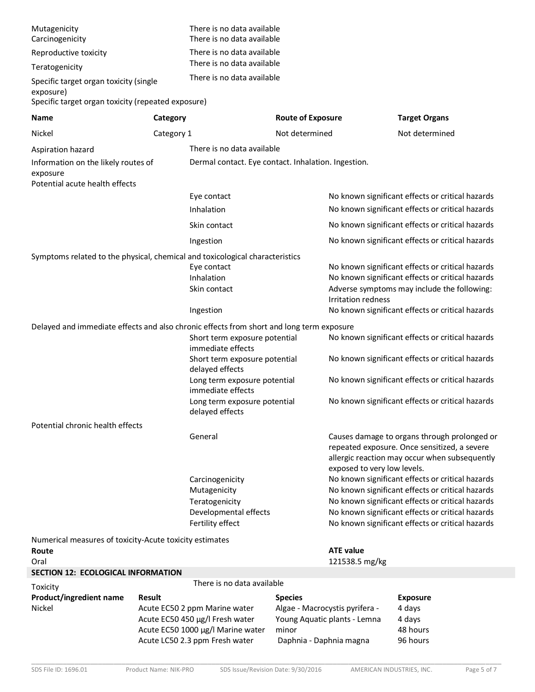| Mutagenicity<br>Carcinogenicity                                                                           |               | There is no data available<br>There is no data available            |                                  |                                |                                                                                                                                               |
|-----------------------------------------------------------------------------------------------------------|---------------|---------------------------------------------------------------------|----------------------------------|--------------------------------|-----------------------------------------------------------------------------------------------------------------------------------------------|
| Reproductive toxicity                                                                                     |               | There is no data available                                          |                                  |                                |                                                                                                                                               |
| Teratogenicity                                                                                            |               | There is no data available                                          |                                  |                                |                                                                                                                                               |
| Specific target organ toxicity (single<br>exposure)<br>Specific target organ toxicity (repeated exposure) |               | There is no data available                                          |                                  |                                |                                                                                                                                               |
| <b>Name</b>                                                                                               | Category      | <b>Route of Exposure</b>                                            |                                  |                                | <b>Target Organs</b>                                                                                                                          |
| Nickel                                                                                                    | Category 1    |                                                                     | Not determined                   |                                | Not determined                                                                                                                                |
| Aspiration hazard                                                                                         |               | There is no data available                                          |                                  |                                |                                                                                                                                               |
| Information on the likely routes of<br>exposure<br>Potential acute health effects                         |               | Dermal contact. Eye contact. Inhalation. Ingestion.                 |                                  |                                |                                                                                                                                               |
|                                                                                                           |               | Eye contact                                                         |                                  |                                | No known significant effects or critical hazards                                                                                              |
|                                                                                                           |               | Inhalation                                                          |                                  |                                | No known significant effects or critical hazards                                                                                              |
|                                                                                                           |               | Skin contact                                                        |                                  |                                | No known significant effects or critical hazards                                                                                              |
|                                                                                                           |               | Ingestion                                                           |                                  |                                | No known significant effects or critical hazards                                                                                              |
| Symptoms related to the physical, chemical and toxicological characteristics                              |               |                                                                     |                                  |                                |                                                                                                                                               |
|                                                                                                           |               | Eye contact                                                         |                                  |                                | No known significant effects or critical hazards                                                                                              |
|                                                                                                           |               | Inhalation                                                          |                                  |                                | No known significant effects or critical hazards                                                                                              |
|                                                                                                           |               | Skin contact                                                        |                                  | <b>Irritation redness</b>      | Adverse symptoms may include the following:                                                                                                   |
|                                                                                                           |               | Ingestion                                                           |                                  |                                | No known significant effects or critical hazards                                                                                              |
| Delayed and immediate effects and also chronic effects from short and long term exposure                  |               |                                                                     |                                  |                                |                                                                                                                                               |
|                                                                                                           |               | Short term exposure potential                                       |                                  |                                | No known significant effects or critical hazards                                                                                              |
|                                                                                                           |               | immediate effects                                                   |                                  |                                |                                                                                                                                               |
|                                                                                                           |               | Short term exposure potential<br>delayed effects                    |                                  |                                | No known significant effects or critical hazards                                                                                              |
|                                                                                                           |               | Long term exposure potential<br>immediate effects                   |                                  |                                | No known significant effects or critical hazards                                                                                              |
|                                                                                                           |               | Long term exposure potential<br>delayed effects                     |                                  |                                | No known significant effects or critical hazards                                                                                              |
| Potential chronic health effects                                                                          |               |                                                                     |                                  |                                |                                                                                                                                               |
|                                                                                                           |               | General                                                             |                                  | exposed to very low levels.    | Causes damage to organs through prolonged or<br>repeated exposure. Once sensitized, a severe<br>allergic reaction may occur when subsequently |
|                                                                                                           |               | Carcinogenicity                                                     |                                  |                                | No known significant effects or critical hazards                                                                                              |
|                                                                                                           |               | Mutagenicity<br>Teratogenicity                                      |                                  |                                | No known significant effects or critical hazards<br>No known significant effects or critical hazards                                          |
|                                                                                                           |               | Developmental effects                                               |                                  |                                | No known significant effects or critical hazards                                                                                              |
|                                                                                                           |               | Fertility effect                                                    |                                  |                                | No known significant effects or critical hazards                                                                                              |
| Numerical measures of toxicity-Acute toxicity estimates                                                   |               |                                                                     |                                  |                                |                                                                                                                                               |
| Route                                                                                                     |               |                                                                     | <b>ATE value</b>                 |                                |                                                                                                                                               |
| Oral<br><b>SECTION 12: ECOLOGICAL INFORMATION</b>                                                         |               |                                                                     |                                  | 121538.5 mg/kg                 |                                                                                                                                               |
| Toxicity                                                                                                  |               | There is no data available                                          |                                  |                                |                                                                                                                                               |
| <b>Product/ingredient name</b>                                                                            | <b>Result</b> |                                                                     | <b>Species</b>                   |                                | <b>Exposure</b>                                                                                                                               |
| Nickel                                                                                                    |               | Acute EC50 2 ppm Marine water                                       |                                  | Algae - Macrocystis pyrifera - | 4 days                                                                                                                                        |
|                                                                                                           |               | Acute EC50 450 µg/l Fresh water                                     |                                  | Young Aquatic plants - Lemna   | 4 days                                                                                                                                        |
|                                                                                                           |               | Acute EC50 1000 µg/l Marine water<br>Acute LC50 2.3 ppm Fresh water | minor<br>Daphnia - Daphnia magna |                                | 48 hours<br>96 hours                                                                                                                          |
|                                                                                                           |               |                                                                     |                                  |                                |                                                                                                                                               |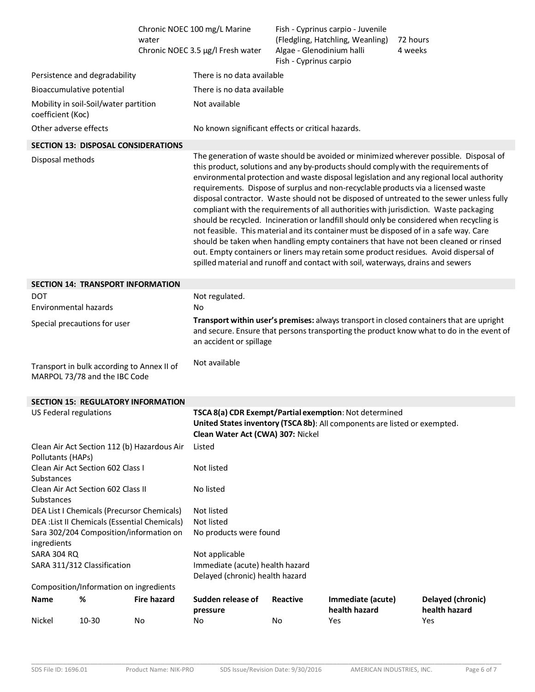|                                     |                                                                             | water                                                                                    | Chronic NOEC 100 mg/L Marine<br>Chronic NOEC 3.5 µg/l Fresh water                                                                                                                                                                                                                                                                                                                                                                                                                                                                                                                                                                                                                                                                                                                                                                                                                                                                                                                                        | Algae - Glenodinium halli<br>Fish - Cyprinus carpio | Fish - Cyprinus carpio - Juvenile<br>(Fledgling, Hatchling, Weanling) | 72 hours<br>4 weeks |                                    |
|-------------------------------------|-----------------------------------------------------------------------------|------------------------------------------------------------------------------------------|----------------------------------------------------------------------------------------------------------------------------------------------------------------------------------------------------------------------------------------------------------------------------------------------------------------------------------------------------------------------------------------------------------------------------------------------------------------------------------------------------------------------------------------------------------------------------------------------------------------------------------------------------------------------------------------------------------------------------------------------------------------------------------------------------------------------------------------------------------------------------------------------------------------------------------------------------------------------------------------------------------|-----------------------------------------------------|-----------------------------------------------------------------------|---------------------|------------------------------------|
|                                     | Persistence and degradability                                               |                                                                                          | There is no data available                                                                                                                                                                                                                                                                                                                                                                                                                                                                                                                                                                                                                                                                                                                                                                                                                                                                                                                                                                               |                                                     |                                                                       |                     |                                    |
| Bioaccumulative potential           |                                                                             |                                                                                          | There is no data available                                                                                                                                                                                                                                                                                                                                                                                                                                                                                                                                                                                                                                                                                                                                                                                                                                                                                                                                                                               |                                                     |                                                                       |                     |                                    |
| coefficient (Koc)                   | Mobility in soil-Soil/water partition                                       |                                                                                          | Not available                                                                                                                                                                                                                                                                                                                                                                                                                                                                                                                                                                                                                                                                                                                                                                                                                                                                                                                                                                                            |                                                     |                                                                       |                     |                                    |
| Other adverse effects               |                                                                             |                                                                                          | No known significant effects or critical hazards.                                                                                                                                                                                                                                                                                                                                                                                                                                                                                                                                                                                                                                                                                                                                                                                                                                                                                                                                                        |                                                     |                                                                       |                     |                                    |
|                                     |                                                                             | <b>SECTION 13: DISPOSAL CONSIDERATIONS</b>                                               |                                                                                                                                                                                                                                                                                                                                                                                                                                                                                                                                                                                                                                                                                                                                                                                                                                                                                                                                                                                                          |                                                     |                                                                       |                     |                                    |
| Disposal methods                    |                                                                             |                                                                                          | The generation of waste should be avoided or minimized wherever possible. Disposal of<br>this product, solutions and any by-products should comply with the requirements of<br>environmental protection and waste disposal legislation and any regional local authority<br>requirements. Dispose of surplus and non-recyclable products via a licensed waste<br>disposal contractor. Waste should not be disposed of untreated to the sewer unless fully<br>compliant with the requirements of all authorities with jurisdiction. Waste packaging<br>should be recycled. Incineration or landfill should only be considered when recycling is<br>not feasible. This material and its container must be disposed of in a safe way. Care<br>should be taken when handling empty containers that have not been cleaned or rinsed<br>out. Empty containers or liners may retain some product residues. Avoid dispersal of<br>spilled material and runoff and contact with soil, waterways, drains and sewers |                                                     |                                                                       |                     |                                    |
|                                     | <b>SECTION 14: TRANSPORT INFORMATION</b>                                    |                                                                                          |                                                                                                                                                                                                                                                                                                                                                                                                                                                                                                                                                                                                                                                                                                                                                                                                                                                                                                                                                                                                          |                                                     |                                                                       |                     |                                    |
| <b>DOT</b><br>Environmental hazards |                                                                             |                                                                                          | Not regulated.<br>No                                                                                                                                                                                                                                                                                                                                                                                                                                                                                                                                                                                                                                                                                                                                                                                                                                                                                                                                                                                     |                                                     |                                                                       |                     |                                    |
|                                     | Special precautions for user                                                |                                                                                          | Transport within user's premises: always transport in closed containers that are upright<br>and secure. Ensure that persons transporting the product know what to do in the event of<br>an accident or spillage                                                                                                                                                                                                                                                                                                                                                                                                                                                                                                                                                                                                                                                                                                                                                                                          |                                                     |                                                                       |                     |                                    |
|                                     | Transport in bulk according to Annex II of<br>MARPOL 73/78 and the IBC Code |                                                                                          | Not available                                                                                                                                                                                                                                                                                                                                                                                                                                                                                                                                                                                                                                                                                                                                                                                                                                                                                                                                                                                            |                                                     |                                                                       |                     |                                    |
|                                     |                                                                             | <b>SECTION 15: REGULATORY INFORMATION</b>                                                |                                                                                                                                                                                                                                                                                                                                                                                                                                                                                                                                                                                                                                                                                                                                                                                                                                                                                                                                                                                                          |                                                     |                                                                       |                     |                                    |
| US Federal regulations              |                                                                             |                                                                                          | TSCA 8(a) CDR Exempt/Partial exemption: Not determined<br>United States inventory (TSCA 8b): All components are listed or exempted.<br>Clean Water Act (CWA) 307: Nickel                                                                                                                                                                                                                                                                                                                                                                                                                                                                                                                                                                                                                                                                                                                                                                                                                                 |                                                     |                                                                       |                     |                                    |
| Pollutants (HAPs)                   |                                                                             | Clean Air Act Section 112 (b) Hazardous Air                                              | Listed                                                                                                                                                                                                                                                                                                                                                                                                                                                                                                                                                                                                                                                                                                                                                                                                                                                                                                                                                                                                   |                                                     |                                                                       |                     |                                    |
| Substances                          | Clean Air Act Section 602 Class I<br>Clean Air Act Section 602 Class II     |                                                                                          | Not listed                                                                                                                                                                                                                                                                                                                                                                                                                                                                                                                                                                                                                                                                                                                                                                                                                                                                                                                                                                                               |                                                     |                                                                       |                     |                                    |
| Substances                          |                                                                             |                                                                                          | No listed                                                                                                                                                                                                                                                                                                                                                                                                                                                                                                                                                                                                                                                                                                                                                                                                                                                                                                                                                                                                |                                                     |                                                                       |                     |                                    |
|                                     | DEA List I Chemicals (Precursor Chemicals)                                  |                                                                                          | Not listed                                                                                                                                                                                                                                                                                                                                                                                                                                                                                                                                                                                                                                                                                                                                                                                                                                                                                                                                                                                               |                                                     |                                                                       |                     |                                    |
|                                     |                                                                             | DEA : List II Chemicals (Essential Chemicals)<br>Sara 302/204 Composition/information on | Not listed<br>No products were found                                                                                                                                                                                                                                                                                                                                                                                                                                                                                                                                                                                                                                                                                                                                                                                                                                                                                                                                                                     |                                                     |                                                                       |                     |                                    |
| ingredients                         |                                                                             |                                                                                          |                                                                                                                                                                                                                                                                                                                                                                                                                                                                                                                                                                                                                                                                                                                                                                                                                                                                                                                                                                                                          |                                                     |                                                                       |                     |                                    |
| <b>SARA 304 RQ</b>                  |                                                                             | Not applicable                                                                           |                                                                                                                                                                                                                                                                                                                                                                                                                                                                                                                                                                                                                                                                                                                                                                                                                                                                                                                                                                                                          |                                                     |                                                                       |                     |                                    |
|                                     | SARA 311/312 Classification                                                 |                                                                                          | Immediate (acute) health hazard<br>Delayed (chronic) health hazard                                                                                                                                                                                                                                                                                                                                                                                                                                                                                                                                                                                                                                                                                                                                                                                                                                                                                                                                       |                                                     |                                                                       |                     |                                    |
|                                     | Composition/Information on ingredients                                      |                                                                                          |                                                                                                                                                                                                                                                                                                                                                                                                                                                                                                                                                                                                                                                                                                                                                                                                                                                                                                                                                                                                          |                                                     |                                                                       |                     |                                    |
| <b>Name</b>                         | %                                                                           | <b>Fire hazard</b>                                                                       | Sudden release of<br>pressure                                                                                                                                                                                                                                                                                                                                                                                                                                                                                                                                                                                                                                                                                                                                                                                                                                                                                                                                                                            | <b>Reactive</b>                                     | Immediate (acute)<br>health hazard                                    |                     | Delayed (chronic)<br>health hazard |
| Nickel                              | 10-30                                                                       | No                                                                                       | No                                                                                                                                                                                                                                                                                                                                                                                                                                                                                                                                                                                                                                                                                                                                                                                                                                                                                                                                                                                                       | No                                                  | Yes                                                                   |                     | Yes                                |